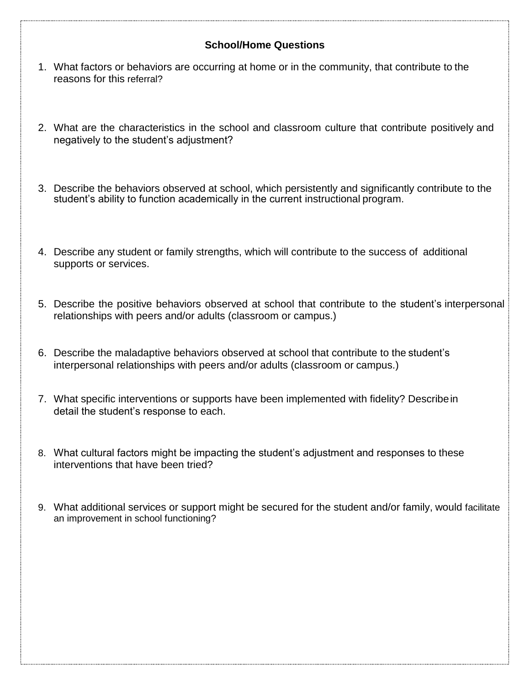## **School/Home Questions**

- 1. What factors or behaviors are occurring at home or in the community, that contribute to the reasons for this referral?
- 2. What are the characteristics in the school and classroom culture that contribute positively and negatively to the student's adjustment?
- 3. Describe the behaviors observed at school, which persistently and significantly contribute to the student's ability to function academically in the current instructional program.
- 4. Describe any student or family strengths, which will contribute to the success of additional supports or services.
- 5. Describe the positive behaviors observed at school that contribute to the student's interpersonal relationships with peers and/or adults (classroom or campus.)
- 6. Describe the maladaptive behaviors observed at school that contribute to the student's interpersonal relationships with peers and/or adults (classroom or campus.)
- 7. What specific interventions or supports have been implemented with fidelity? Describein detail the student's response to each.
- 8. What cultural factors might be impacting the student's adjustment and responses to these interventions that have been tried?
- 9. What additional services or support might be secured for the student and/or family, would facilitate an improvement in school functioning?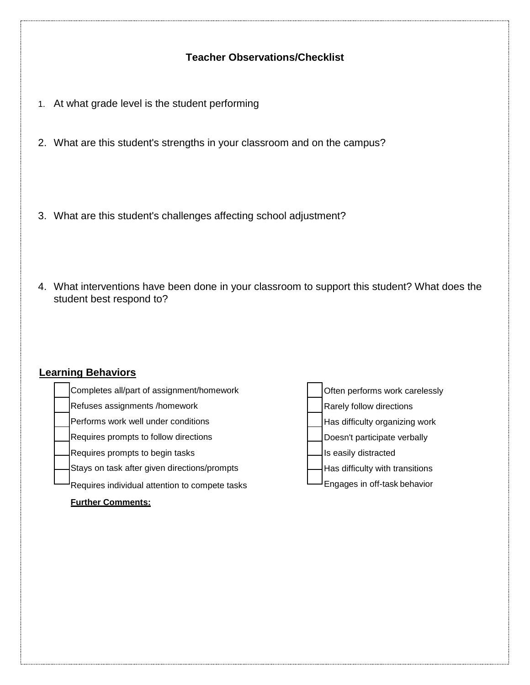## **Teacher Observations/Checklist**

- 1. At what grade level is the student performing
- 2. What are this student's strengths in your classroom and on the campus?
- 3. What are this student's challenges affecting school adjustment?
- 4. What interventions have been done in your classroom to support this student? What does the student best respond to?

# **Learning Behaviors**

| Completes all/part of assignment/homework      | Often performs work carelessly  |
|------------------------------------------------|---------------------------------|
| Refuses assignments /homework                  | Rarely follow directions        |
| Performs work well under conditions            | Has difficulty organizing work  |
| Requires prompts to follow directions          | Doesn't participate verbally    |
| Requires prompts to begin tasks                | Is easily distracted            |
| Stays on task after given directions/prompts   | Has difficulty with transitions |
| Requires individual attention to compete tasks | Engages in off-task behavior    |
| <b>Further Comments:</b>                       |                                 |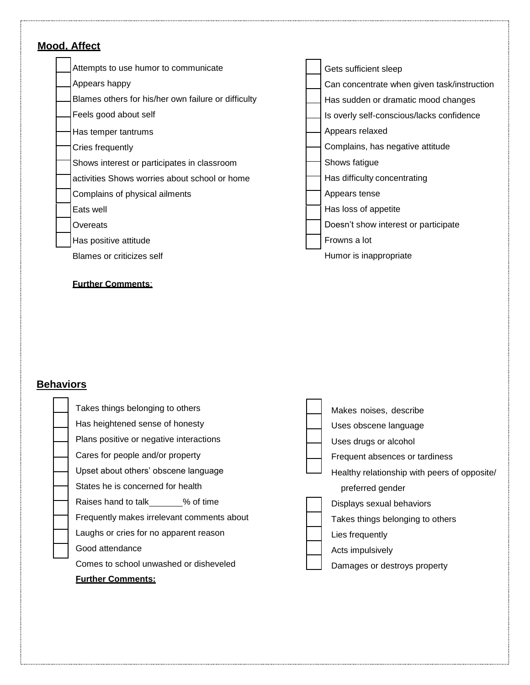#### **Mood, Affect** Attempts to use humor to communicate Appears happy Blames others for his/her own failure or difficulty Feels good about self Has temper tantrums Cries frequently Shows interest or participates in classroom activities Shows worries about school or home Complains of physical ailments Eats well **Overeats** Has positive attitude Blames or criticizes self Gets sufficient sleep Can concentrate when given task/instruction Has sudden or dramatic mood changes Is overly self-conscious/lacks confidence Appears relaxed Complains, has negative attitude Shows fatigue Has difficulty concentrating Appears tense Has loss of appetite Doesn't show interest or participate Frowns a lot Humor is inappropriate

#### **Further Comments**:

## **Behaviors**

| Takes things belonging to others           | Makes noises, describe                       |
|--------------------------------------------|----------------------------------------------|
| Has heightened sense of honesty            | Uses obscene language                        |
| Plans positive or negative interactions    | Uses drugs or alcohol                        |
| Cares for people and/or property           | Frequent absences or tardiness               |
| Upset about others' obscene language       | Healthy relationship with peers of opposite/ |
| States he is concerned for health          | preferred gender                             |
| Raises hand to talk % of time              | Displays sexual behaviors                    |
| Frequently makes irrelevant comments about | Takes things belonging to others             |
| Laughs or cries for no apparent reason     | Lies frequently                              |
| Good attendance                            | Acts impulsively                             |
| Comes to school unwashed or disheveled     | Damages or destroys property                 |

#### **Further Comments:**